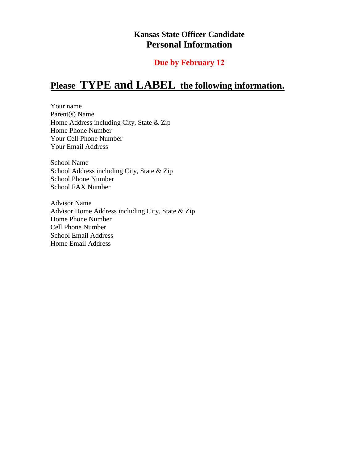## **Kansas State Officer Candidate Personal Information**

## **Due by February 12**

# **Please TYPE and LABEL the following information.**

Your name Parent(s) Name Home Address including City, State & Zip Home Phone Number Your Cell Phone Number Your Email Address

School Name School Address including City, State & Zip School Phone Number School FAX Number

Advisor Name Advisor Home Address including City, State & Zip Home Phone Number Cell Phone Number School Email Address Home Email Address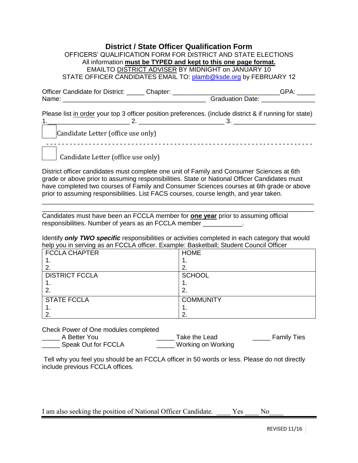#### **District / State Officer Qualification Form**  OFFICERS' QUALIFICATION FORM FOR DISTRICT AND STATE ELECTIONS

| <u>UT TULIN GUNLIN IUM DI UTULI UNU UNU MUUTINE LLEUTIU IU</u>   |  |
|------------------------------------------------------------------|--|
| All information must be TYPED and kept to this one page format.  |  |
| EMAILTO DISTRICT ADVISER BY MIDNIGHT on JANUARY 10               |  |
| STATE OFFICER CANDIDATES EMAIL TO: plamb@ksde.org by FEBRUARY 12 |  |
|                                                                  |  |

Officer Candidate for District: \_\_\_\_\_\_ Chapter: \_\_\_\_\_\_\_\_\_\_\_\_\_\_\_\_\_\_\_\_\_\_\_\_\_\_\_\_\_\_\_\_GPA: \_\_\_\_\_\_ Name: \_\_\_\_\_\_\_\_\_\_\_\_\_\_\_\_\_\_\_\_\_\_\_\_\_\_\_\_\_\_\_\_\_\_\_\_\_\_\_\_ Graduation Date: \_\_\_\_\_\_\_\_\_\_\_\_\_\_\_

Please list in order your top 3 officer position preferences. (include district & if running for state) 1.\_\_\_\_\_\_\_\_\_\_\_\_\_\_\_\_\_\_\_\_\_\_\_ 2. \_\_\_\_\_\_\_\_\_\_\_\_\_\_\_\_\_\_\_\_\_\_\_\_ 3. \_\_\_\_\_\_\_\_\_\_\_\_\_\_\_\_\_\_\_\_\_\_\_

Candidate Letter (office use only)

- - - - - - - - - - - - - - - - - - - - - - - - - - - - - - - - - - - - - - - - - - - - - - - - - - - - - - - - - - - - - - - - - - - - -

Candidate Letter (office use only)

District officer candidates must complete one unit of Family and Consumer Sciences at 6th grade or above prior to assuming responsibilities. State or National Officer Candidates must have completed two courses of Family and Consumer Sciences courses at 6th grade or above prior to assuming responsibilities. List FACS courses, course length, and year taken.

\_\_\_\_\_\_\_\_\_\_\_\_\_\_\_\_\_\_\_\_\_\_\_\_\_\_\_\_\_\_\_\_\_\_\_\_\_\_\_\_\_\_\_\_\_\_\_\_\_\_\_\_\_\_\_\_\_\_\_\_\_\_\_\_\_\_\_\_\_\_\_\_\_\_\_\_

\_\_\_\_\_\_\_\_\_\_\_\_\_\_\_\_\_\_\_\_\_\_\_\_\_\_\_\_\_\_\_\_\_\_\_\_\_\_\_\_\_\_\_\_\_\_\_\_\_\_\_\_\_\_\_\_\_\_\_\_\_\_\_\_\_\_\_\_\_\_\_\_\_\_\_\_ Candidates must have been an FCCLA member for **one year** prior to assuming official responsibilities. Number of years as an FCCLA member  $\qquad \qquad$ .

Identify *only TWO specific* responsibilities or activities completed in each category that would help you in serving as an FCCLA officer. Example: Basketball; Student Council Officer

| <b>FCCLA CHAPTER</b>  | <b>HOME</b>      |
|-----------------------|------------------|
| . .                   | . .              |
|                       | ◠                |
| <b>DISTRICT FCCLA</b> | <b>SCHOOL</b>    |
| . .                   |                  |
| 2.                    | Ω                |
| <b>STATE FCCLA</b>    | <b>COMMUNITY</b> |
|                       |                  |
| ⌒                     | ⌒                |

Check Power of One modules completed

| A Better You        | Take the Lead      | <b>Family Ties</b> |
|---------------------|--------------------|--------------------|
| Speak Out for FCCLA | Working on Working |                    |

Tell why you feel you should be an FCCLA officer in 50 words or less. Please do not directly include previous FCCLA offices.

I am also seeking the position of National Officer Candidate. Yes No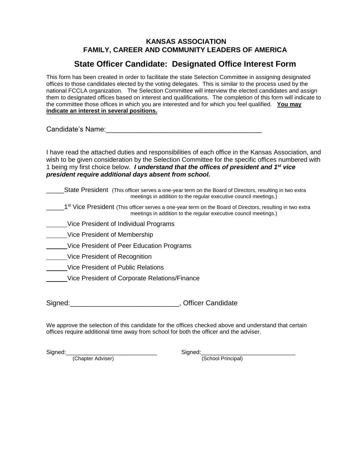### **KANSAS ASSOCIATION FAMILY, CAREER AND COMMUNITY LEADERS OF AMERICA**

## **State Officer Candidate: Designated Office Interest Form**

This form has been created in order to facilitate the state Selection Committee in assigning designated offices to those candidates elected by the voting delegates. This is similar to the process used by the national FCCLA organization. The Selection Committee will interview the elected candidates and assign them to designated offices based on interest and qualifications. The completion of this form will indicate to the committee those offices in which you are interested and for which you feel qualified. **You may indicate an interest in several positions.**

Candidate's Name:\_\_\_\_\_\_\_\_\_\_\_\_\_\_\_\_\_\_\_\_\_\_\_\_\_\_\_\_\_\_\_\_\_\_\_\_\_\_\_\_

I have read the attached duties and responsibilities of each office in the Kansas Association, and wish to be given consideration by the Selection Committee for the specific offices numbered with 1 being my first choice below. *I understand that the offices of president and 1st vice president require additional days absent from school.*

State President (This officer serves a one-year term on the Board of Directors, resulting in two extra meetings in addition to the regular executive council meetings.)

1<sup>st</sup> Vice President (This officer serves a one-year term on the Board of Directors, resulting in two extra meetings in addition to the regular executive council meetings.)

- Vice President of Individual Programs
- Vice President of Membership
- Vice President of Peer Education Programs
- Vice President of Recognition
- Vice President of Public Relations
- Vice President of Corporate Relations/Finance

Signed: Signed: Signed: Signed: Signed: Signed: Signed: Signed: Signed: Signed: Signed: Signed: Signed: Signed: Signed: Signed: Signed: Signed: Signed: Signed: Signed: Signed: Signed: Signed: Signed: Signed: Signed: Signed

We approve the selection of this candidate for the offices checked above and understand that certain offices require additional time away from school for both the officer and the adviser.

(Chapter Adviser) (School Principal)

Signed:\_\_\_\_\_\_\_\_\_\_\_\_\_\_\_\_\_\_\_\_\_\_\_\_\_\_\_\_ Signed:\_\_\_\_\_\_\_\_\_\_\_\_\_\_\_\_\_\_\_\_\_\_\_\_\_\_\_\_\_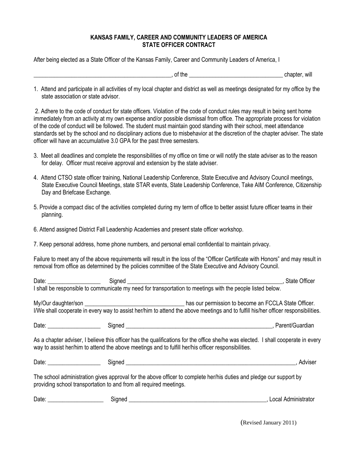#### **KANSAS FAMILY, CAREER AND COMMUNITY LEADERS OF AMERICA STATE OFFICER CONTRACT**

After being elected as a State Officer of the Kansas Family, Career and Community Leaders of America, I

\_\_\_\_\_\_\_\_\_\_\_\_\_\_\_\_\_\_\_\_\_\_\_\_\_\_\_\_\_\_\_\_\_\_\_\_\_\_\_\_\_\_\_\_\_\_\_, of the \_\_\_\_\_\_\_\_\_\_\_\_\_\_\_\_\_\_\_\_\_\_\_\_\_\_\_\_\_\_\_\_ chapter, will

1. Attend and participate in all activities of my local chapter and district as well as meetings designated for my office by the state association or state advisor.

2. Adhere to the code of conduct for state officers. Violation of the code of conduct rules may result in being sent home immediately from an activity at my own expense and/or possible dismissal from office. The appropriate process for violation of the code of conduct will be followed. The student must maintain good standing with their school, meet attendance standards set by the school and no disciplinary actions due to misbehavior at the discretion of the chapter adviser. The state officer will have an accumulative 3.0 GPA for the past three semesters.

- 3. Meet all deadlines and complete the responsibilities of my office on time or will notify the state adviser as to the reason for delay. Officer must receive approval and extension by the state adviser.
- 4. Attend CTSO state officer training, National Leadership Conference, State Executive and Advisory Council meetings, State Executive Council Meetings, state STAR events, State Leadership Conference, Take AIM Conference, Citizenship Day and Briefcase Exchange.
- 5. Provide a compact disc of the activities completed during my term of office to better assist future officer teams in their planning.
- 6. Attend assigned District Fall Leadership Academies and present state officer workshop.
- 7. Keep personal address, home phone numbers, and personal email confidential to maintain privacy.

Failure to meet any of the above requirements will result in the loss of the "Officer Certificate with Honors" and may result in removal from office as determined by the policies committee of the State Executive and Advisory Council.

| Date: | Signed | <b>State Officer</b>                                                                                                                                                                      |
|-------|--------|-------------------------------------------------------------------------------------------------------------------------------------------------------------------------------------------|
|       |        | I shall be responsible to communicate my need for transportation to meetings with the people listed below.                                                                                |
|       |        | has our permission to become an FCCLA State Officer.<br>I/We shall cooperate in every way to assist her/him to attend the above meetings and to fulfill his/her officer responsibilities. |
| Date: | Signed | Parent/Guardian                                                                                                                                                                           |
|       |        | As a chapter adviser, I believe this officer has the qualifications for the office she/he was elected. I shall cooperate in every                                                         |

way to assist her/him to attend the above meetings and to fulfill her/his officer responsibilities.

| Date. | . |  |
|-------|---|--|
|       |   |  |

The school administration gives approval for the above officer to complete her/his duties and pledge our support by providing school transportation to and from all required meetings.

| Date | ıneı<br>װי |  | $\sim$<br>----<br>-uuali<br>பயவட<br>. ונור |
|------|------------|--|--------------------------------------------|
|------|------------|--|--------------------------------------------|

(Revised January 2011)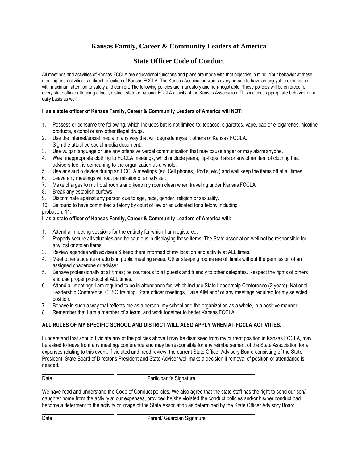## **Kansas Family, Career & Community Leaders of America**

## **State Officer Code of Conduct**

All meetings and activities of Kansas FCCLA are educational functions and plans are made with that objective in mind. Your behavior at these meeting and activities is a direct reflection of Kansas FCCLA. The Kansas Association wants every person to have an enjoyable experience with maximum attention to safety and comfort. The following policies are mandatory and non-negotiable. These policies will be enforced for every state officer attending a local, district, state or national FCCLA activity of the Kansas Association. This includes appropriate behavior on a daily basis as well.

#### **I, as a state officer of Kansas Family, Career & Community Leaders of America will NOT:**

- 1. Possess or consume the following, which includes but is not limited to: tobacco, cigarettes, vape, cap or e-cigarettes, nicotine products, alcohol or any other illegal drugs.
- 2. Use the internet/social media in any way that will degrade myself, others or Kansas FCCLA. Sign the attached social media document.
- 3. Use vulgar language or use any offensive verbal communication that may cause anger or may alarmanyone.
- 4. Wear inappropriate clothing to FCCLA meetings, which include jeans, flip-flops, hats or any other item of clothing that advisors feel, is demeaning to the organization as a whole.
- 5. Use any audio device during an FCCLA meetings (ex. Cell phones, iPod's, etc.) and well keep the items off at all times.
- 6. Leave any meetings without permission of an adviser.
- 7. Make charges to my hotel rooms and keep my room clean when traveling under Kansas FCCLA.
- 8. Break any establish curfews.
- 9. Discriminate against any person due to age, race, gender, religion or sexuality.
- 10. Be found to have committed a felony by court of law or adjudicated for a felony including

probation. 11.

#### **I, as a state officer of Kansas Family, Career & Community Leaders of America will:**

- 1. Attend all meeting sessions for the entirety for which I am registered.
- 2. Properly secure all valuables and be cautious in displaying these items. The State association well not be responsible for any lost or stolen items.
- 3. Review agendas with advisers & keep them informed of my location and activity at ALL times.
- 4. Meet other students or adults in public meeting areas. Other sleeping rooms are off limits without the permission of an assigned chaperone or adviser.
- 5. Behave professionally at all times; be courteous to all guests and friendly to other delegates. Respect the rights of others and use proper protocol at ALL times.
- 6. Attend all meetings I am required to be in attendance for, which include State Leadership Conference (2 years), National Leadership Conference, CTSO training, State officer meetings, Take AIM and/ or any meetings required for my selected position.
- 7. Behave in such a way that reflects me as a person, my school and the organization as a whole, in a positive manner.
- 8. Remember that I am a member of a team, and work together to better Kansas FCCLA.

#### **ALL RULES OF MY SPECIFIC SCHOOL AND DISTRICT WILL ALSO APPLY WHEN AT FCCLA ACTIVITIES.**

**I** understand that should I violate any of the policies above I may be dismissed from my current position in Kansas FCCLA, may be asked to leave from any meeting/ conference and may be responsible for any reimbursement of the State Association for all expenses relating to this event. If violated and need review, the current State Officer Advisory Board consisting of the State President, State Board of Director's President and State Adviser well make a decision if removal of position or attendance is needed.

#### Date **Date** Participant's Signature

We have read and understand the Code of Conduct policies. We also agree that the state staff has the right to send our son/ daughter home from the activity at our expenses, provided he/she violated the conduct policies and/or his/her conduct had become a determent to the activity or image of the State Association as determined by the State Officer Advisory Board.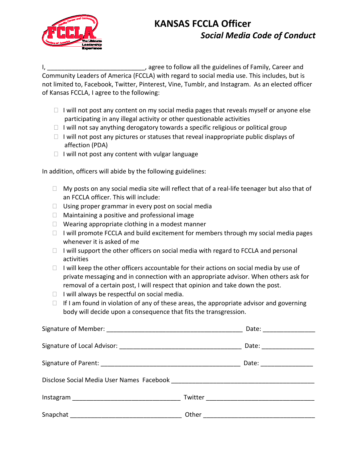

# **KANSAS FCCLA Officer** *Social Media Code of Conduct*

I, the guidelines of Family, Career and intervals are proportionall the guidelines of Family, Career and Community Leaders of America (FCCLA) with regard to social media use. This includes, but is not limited to, Facebook, Twitter, Pinterest, Vine, Tumblr, and Instagram. As an elected officer of Kansas FCCLA, I agree to the following:

- $\Box$  I will not post any content on my social media pages that reveals myself or anyone else participating in any illegal activity or other questionable activities
- $\Box$  I will not say anything derogatory towards a specific religious or political group
- $\Box$  I will not post any pictures or statuses that reveal inappropriate public displays of affection (PDA)
- $\Box$  I will not post any content with vulgar language

In addition, officers will abide by the following guidelines:

- $\Box$  My posts on any social media site will reflect that of a real-life teenager but also that of an FCCLA officer. This will include:
- $\Box$  Using proper grammar in every post on social media
- $\Box$  Maintaining a positive and professional image
- $\Box$  Wearing appropriate clothing in a modest manner
- $\Box$  I will promote FCCLA and build excitement for members through my social media pages whenever it is asked of me
- $\Box$  I will support the other officers on social media with regard to FCCLA and personal activities
- $\Box$  I will keep the other officers accountable for their actions on social media by use of private messaging and in connection with an appropriate advisor. When others ask for removal of a certain post, I will respect that opinion and take down the post.
- $\Box$  I will always be respectful on social media.
- $\Box$  If I am found in violation of any of these areas, the appropriate advisor and governing body will decide upon a consequence that fits the transgression.

|  | Date: _______________   |
|--|-------------------------|
|  | Date: _______________   |
|  | Date: _________________ |
|  |                         |
|  |                         |
|  |                         |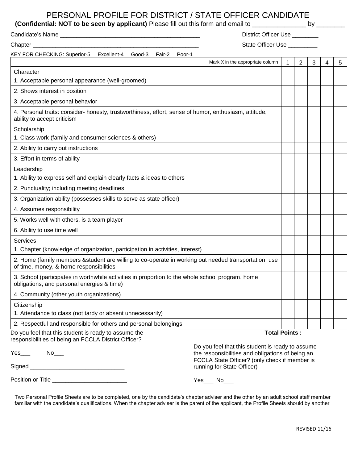## PERSONAL PROFILE FOR DISTRICT / STATE OFFICER CANDIDATE

## **(Confidential: NOT to be seen by applicant)** Please fill out this form and email to \_\_\_\_\_\_\_\_\_\_\_\_\_\_\_\_\_ by \_\_\_\_\_\_\_

|                                                                                                                                                  | District Officer Use ________                                                                                                                         |             |                |   |   |   |
|--------------------------------------------------------------------------------------------------------------------------------------------------|-------------------------------------------------------------------------------------------------------------------------------------------------------|-------------|----------------|---|---|---|
|                                                                                                                                                  | State Officer Use _________                                                                                                                           |             |                |   |   |   |
| KEY FOR CHECKING: Superior-5 Excellent-4 Good-3 Fair-2 Poor-1                                                                                    |                                                                                                                                                       |             |                |   |   |   |
|                                                                                                                                                  | Mark X in the appropriate column                                                                                                                      | $\mathbf 1$ | $\overline{2}$ | 3 | 4 | 5 |
| Character                                                                                                                                        |                                                                                                                                                       |             |                |   |   |   |
| 1. Acceptable personal appearance (well-groomed)                                                                                                 |                                                                                                                                                       |             |                |   |   |   |
| 2. Shows interest in position                                                                                                                    |                                                                                                                                                       |             |                |   |   |   |
| 3. Acceptable personal behavior                                                                                                                  |                                                                                                                                                       |             |                |   |   |   |
| 4. Personal traits: consider- honesty, trustworthiness, effort, sense of humor, enthusiasm, attitude,<br>ability to accept criticism             |                                                                                                                                                       |             |                |   |   |   |
| Scholarship                                                                                                                                      |                                                                                                                                                       |             |                |   |   |   |
| 1. Class work (family and consumer sciences & others)                                                                                            |                                                                                                                                                       |             |                |   |   |   |
| 2. Ability to carry out instructions                                                                                                             |                                                                                                                                                       |             |                |   |   |   |
| 3. Effort in terms of ability                                                                                                                    |                                                                                                                                                       |             |                |   |   |   |
| Leadership                                                                                                                                       |                                                                                                                                                       |             |                |   |   |   |
| 1. Ability to express self and explain clearly facts & ideas to others                                                                           |                                                                                                                                                       |             |                |   |   |   |
| 2. Punctuality; including meeting deadlines                                                                                                      |                                                                                                                                                       |             |                |   |   |   |
| 3. Organization ability (possesses skills to serve as state officer)                                                                             |                                                                                                                                                       |             |                |   |   |   |
| 4. Assumes responsibility                                                                                                                        |                                                                                                                                                       |             |                |   |   |   |
| 5. Works well with others, is a team player                                                                                                      |                                                                                                                                                       |             |                |   |   |   |
| 6. Ability to use time well                                                                                                                      |                                                                                                                                                       |             |                |   |   |   |
| Services                                                                                                                                         |                                                                                                                                                       |             |                |   |   |   |
| 1. Chapter (knowledge of organization, participation in activities, interest)                                                                    |                                                                                                                                                       |             |                |   |   |   |
| 2. Home (family members & student are willing to co-operate in working out needed transportation, use<br>of time, money, & home responsibilities |                                                                                                                                                       |             |                |   |   |   |
| 3. School (participates in worthwhile activities in proportion to the whole school program, home<br>obligations, and personal energies & time)   |                                                                                                                                                       |             |                |   |   |   |
| 4. Community (other youth organizations)                                                                                                         |                                                                                                                                                       |             |                |   |   |   |
| Citizenship                                                                                                                                      |                                                                                                                                                       |             |                |   |   |   |
| 1. Attendance to class (not tardy or absent unnecessarily)                                                                                       |                                                                                                                                                       |             |                |   |   |   |
| 2. Respectful and responsible for others and personal belongings                                                                                 |                                                                                                                                                       |             |                |   |   |   |
| Do you feel that this student is ready to assume the<br>responsibilities of being an FCCLA District Officer?                                     | <b>Total Points:</b>                                                                                                                                  |             |                |   |   |   |
| Yes                                                                                                                                              | Do you feel that this student is ready to assume<br>the responsibilities and obligations of being an<br>FCCLA State Officer? (only check if member is |             |                |   |   |   |
| Signed_                                                                                                                                          | running for State Officer)                                                                                                                            |             |                |   |   |   |

Position or Title \_\_\_\_\_\_\_\_\_\_\_\_\_\_\_\_\_\_\_\_\_\_\_

Yes\_\_\_ No\_\_\_

Two Personal Profile Sheets are to be completed, one by the candidate's chapter adviser and the other by an adult school staff member familiar with the candidate's qualifications. When the chapter adviser is the parent of the applicant, the Profile Sheets should by another